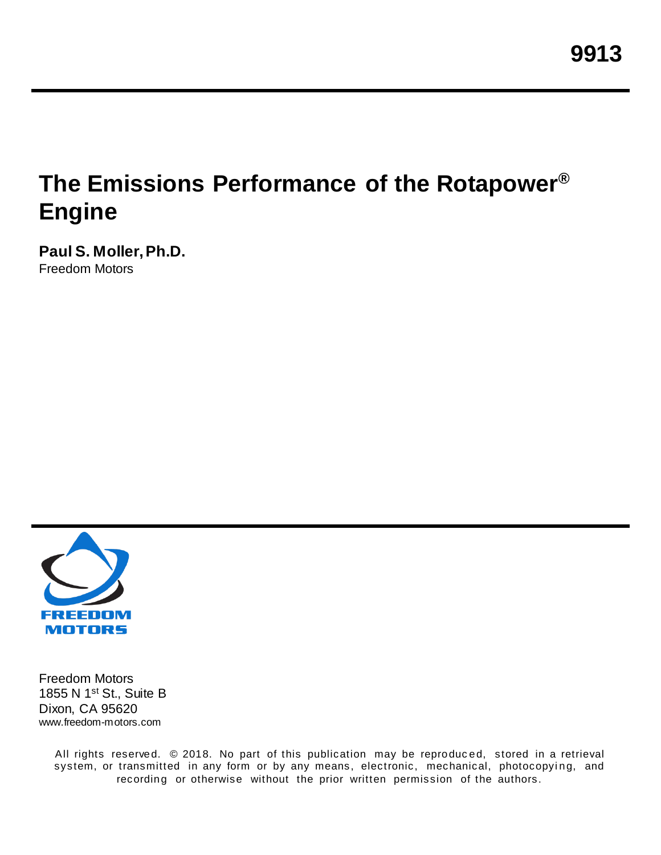# **The Emissions Performance of the Rotapower® Engine**

**Paul S. Moller, Ph.D.** Freedom Motors



Freedom Motors 1855 N 1st St., Suite B Dixon, CA 95620 www.freedom-motors.com

> All rights reserved. © 2018. No part of this publication may be reproduced, stored in a retrieval system, or transmitted in any form or by any means, electronic, mechanical, photocopying, and recording or otherwise without the prior written permission of the authors.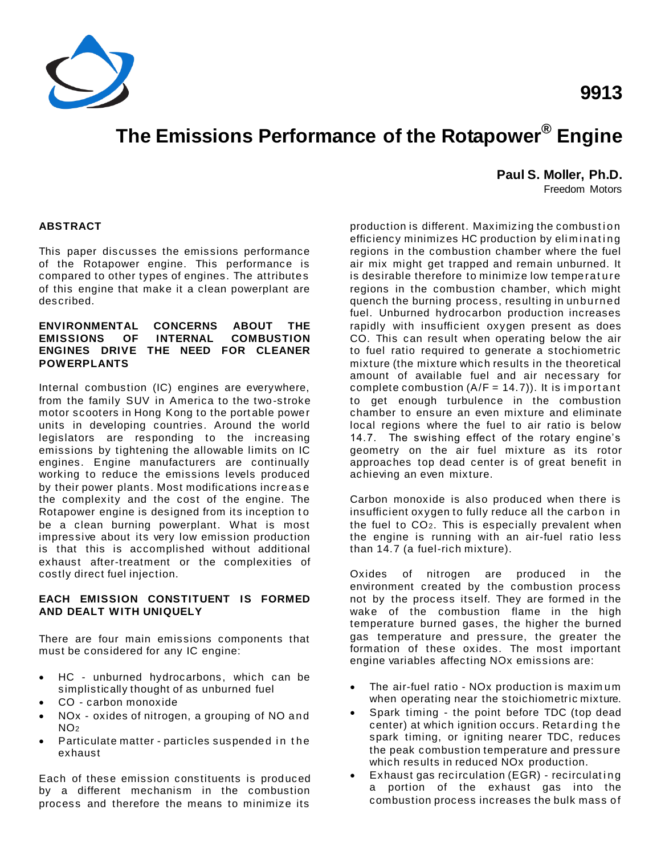

# **The Emissions Performance of the Rotapower® Engine**

**Paul S. Moller, Ph.D.**

Freedom Motors

#### **ABSTRACT**

This paper discusses the emissions performance of the Rotapower engine. This performance is compared to other types of engines. The attributes of this engine that make it a clean powerplant are described.

#### **ENVIRONMENTAL CONCERNS ABOUT THE EMISSIONS OF ENGINES DRIVE THE NEED FOR CLEANER POWERPLANTS**

Internal combustion (IC) engines are everywhere, from the family SUV in America to the two-stroke motor scooters in Hong Kong to the port able power units in developing countries. Around the world legislators are responding to the increasing emissions by tightening the allowable limits on IC engines. Engine manufacturers are continually working to reduce the emissions levels produced by their power plants. Most modifications increas e the complexity and the cost of the engine. The Rotapower engine is designed from its inception t o be a clean burning powerplant. What is most impressive about its very low emission production is that this is accomplished without additional exhaust after-treatment or the complexities of costly direct fuel injection.

#### **EACH EMISSION CONSTITUENT IS FORMED AND DEALT WITH UNIQUELY**

There are four main emissions components that must be considered for any IC engine:

- HC unburned hydrocarbons, which can be simplistically thought of as unburned fuel
- CO carbon monoxide
- NOx oxides of nitrogen, a grouping of NO and NO<sup>2</sup>
- Particulate matter particles suspended in the exhaust

Each of these emission constituents is produced by a different mechanism in the combustion process and therefore the means to minimize its

production is different. Maximizing the combustion efficiency minimizes HC production by eliminating regions in the combustion chamber where the fuel air mix might get trapped and remain unburned. It is desirable therefore to minimize low temperat ure regions in the combustion chamber, which might quench the burning process, resulting in unburned fuel. Unburned hydrocarbon production increases rapidly with insufficient oxygen present as does CO. This can result when operating below the air to fuel ratio required to generate a stochiometric mixture (the mixture which results in the theoretical amount of available fuel and air necessary for complete combustion  $(A/F = 14.7)$ ). It is important to get enough turbulence in the combustion chamber to ensure an even mixture and eliminate local regions where the fuel to air ratio is below 14.7. The swishing effect of the rotary engine's geometry on the air fuel mixture as its rotor approaches top dead center is of great benefit in achieving an even mixture.

Carbon monoxide is also produced when there is insufficient oxygen to fully reduce all the carbon in the fuel to CO2. This is especially prevalent when the engine is running with an air-fuel ratio less than 14.7 (a fuel-rich mixture).

Oxides of nitrogen are produced in the environment created by the combustion process not by the process itself. They are formed in the wake of the combustion flame in the high temperature burned gases, the higher the burned gas temperature and pressure, the greater the formation of these oxides. The most important engine variables affecting NOx emissions are:

- The air-fuel ratio NO<sub>x</sub> production is maximum when operating near the stoichiometric mixture.
- Spark timing the point before TDC (top dead center) at which ignition occurs. Retarding the spark timing, or igniting nearer TDC, reduces the peak combustion temperature and pressure which results in reduced NOx production.
- Exhaust gas recirculation (EGR) recirculating a portion of the exhaust gas into the combustion process increases the bulk mass of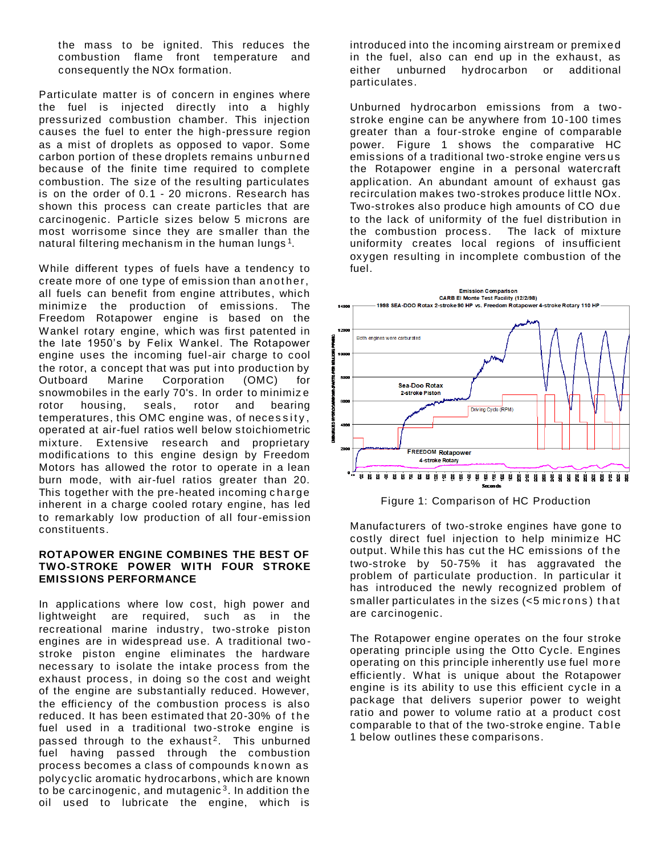the mass to be ignited. This reduces the combustion flame front temperature and consequently the NOx formation.

Particulate matter is of concern in engines where the fuel is injected directly into a highly pressurized combustion chamber. This injection causes the fuel to enter the high-pressure region as a mist of droplets as opposed to vapor. Some carbon portion of these droplets remains unburned because of the finite time required to complete combustion. The size of the resulting particulates is on the order of 0.1 - 20 microns. Research has shown this process can create particles that are carcinogenic. Particle sizes below 5 microns are most worrisome since they are smaller than the natural filtering mechanism in the human lungs<sup>1</sup>.

While different types of fuels have a tendency to create more of one type of emission than another, all fuels can benefit from engine attributes, which minimize the production of emissions. The Freedom Rotapower engine is based on the Wankel rotary engine, which was first patented in the late 1950's by Felix Wankel. The Rotapower engine uses the incoming fuel-air charge to cool the rotor, a concept that was put into production by<br>Outboard Marine Corporation (OMC) for Outboard Marine Corporation (OMC) for snowmobiles in the early 70's. In order to minimiz e rotor housing, seals, rotor and bearing temperatures, this OMC engine was, of necessity, operated at air-fuel ratios well below stoichiometric mixture. Extensive research and proprietary modifications to this engine design by Freedom Motors has allowed the rotor to operate in a lean burn mode, with air-fuel ratios greater than 20. This together with the pre-heated incoming c harge inherent in a charge cooled rotary engine, has led to remarkably low production of all four-emission constituents.

#### **ROTAPOWER ENGINE COMBINES THE BEST OF TWO-STROKE POWER WITH FOUR STROKE EMISSIONS PERFORMANCE**

In applications where low cost, high power and lightweight are required, such as in the recreational marine industry, two-stroke piston engines are in widespread use. A traditional two stroke piston engine eliminates the hardware necessary to isolate the intake process from the exhaust process, in doing so the cost and weight of the engine are substantially reduced. However, the efficiency of the combustion process is also reduced. It has been estimated that 20-30% of the fuel used in a traditional two-stroke engine is passed through to the exhaust<sup>2</sup>. This unburned fuel having passed through the combustion process becomes a class of compounds k nown as polycyclic aromatic hydrocarbons, which are known to be carcinogenic, and mutagenic $^3$ . In addition the oil used to lubricate the engine, which is

introduced into the incoming airstream or premixed in the fuel, also can end up in the exhaust, as either unburned hydrocarbon or additional particulates.

Unburned hydrocarbon emissions from a twostroke engine can be anywhere from 10-100 times greater than a four-stroke engine of comparable power. Figure 1 shows the comparative HC emissions of a traditional two-stroke engine vers us the Rotapower engine in a personal watercraft application. An abundant amount of exhaust gas recirculation makes two-strokes produce little NOx. Two-strokes also produce high amounts of CO due to the lack of uniformity of the fuel distribution in the combustion process. The lack of mixture uniformity creates local regions of insufficient oxygen resulting in incomplete combustion of the fuel.



Figure 1: Comparison of HC Production

Manufacturers of two-stroke engines have gone to costly direct fuel injection to help minimize HC output. While this has cut the HC emissions of the two-stroke by 50-75% it has aggravated the problem of particulate production. In particular it has introduced the newly recognized problem of smaller particulates in the sizes (<5 mic rons ) t hat are carcinogenic.

The Rotapower engine operates on the four stroke operating principle using the Otto Cycle. Engines operating on this principle inherently use fuel more efficiently. What is unique about the Rotapower engine is its ability to use this efficient cycle in a package that delivers superior power to weight ratio and power to volume ratio at a product cost comparable to that of the two-stroke engine. Table 1 below outlines these comparisons.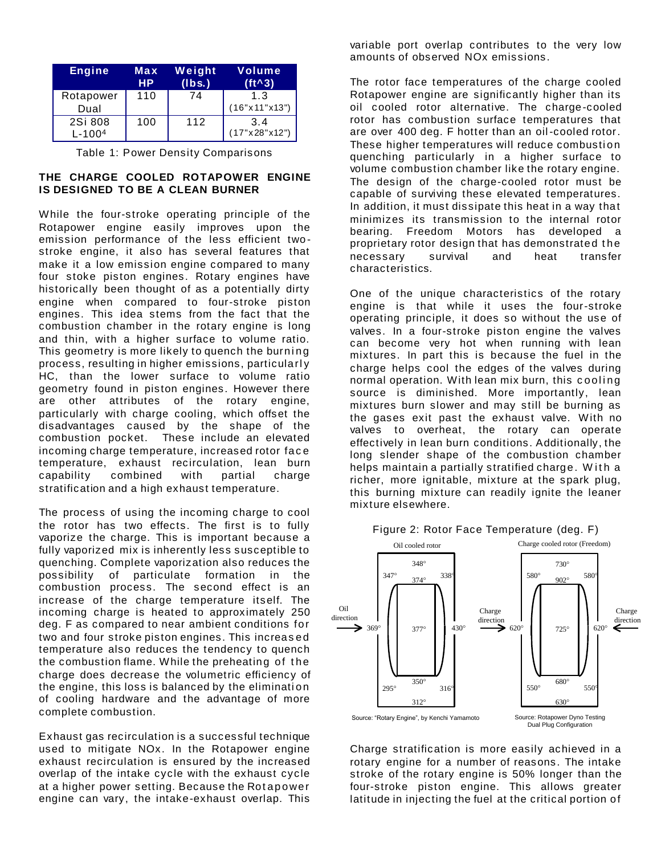| Engine                | Max<br>HP. | Weight<br>(lbs.) | Volume<br>$(ft^{\wedge}3)$ |
|-----------------------|------------|------------------|----------------------------|
| Rotapower<br>Dual     | 110        | 74               | 1.3<br>(16"x11"x13")       |
| 2Si 808<br>$L - 1004$ | 100        | 112              | 3.4<br>(17"x28"x12")       |

Table 1: Power Density Comparisons

### **THE CHARGE COOLED ROTAPOWER ENGINE IS DESIGNED TO BE A CLEAN BURNER**

While the four-stroke operating principle of the Rotapower engine easily improves upon the emission performance of the less efficient twostroke engine, it also has several features that make it a low emission engine compared to many four stoke piston engines. Rotary engines have historically been thought of as a potentially dirty engine when compared to four-stroke piston engines. This idea stems from the fact that the combustion chamber in the rotary engine is long and thin, with a higher surface to volume ratio. This geometry is more likely to quench the burning process, resulting in higher emissions, particularl y HC, than the lower surface to volume ratio geometry found in piston engines. However there are other attributes of the rotary engine, particularly with charge cooling, which offset the disadvantages caused by the shape of the combustion pocket. These include an elevated incoming charge temperature, increased rotor fac e temperature, exhaust recirculation, lean burn capability combined with partial charge stratification and a high exhaust temperature.

The process of using the incoming charge to cool the rotor has two effects. The first is to fully vaporize the charge. This is important because a fully vaporized mix is inherently less susceptible to quenching. Complete vaporization also reduces the possibility of particulate formation in the combustion process. The second effect is an increase of the charge temperature itself. The incoming charge is heated to approximately 250 deg. F as compared to near ambient conditions for two and four stroke piston engines. This increas ed temperature also reduces the tendency to quench the combustion flame. While the preheating of the charge does decrease the volumetric efficiency of the engine, this loss is balanced by the elimination of cooling hardware and the advantage of more complete combustion.

Exhaust gas recirculation is a successful technique used to mitigate NOx. In the Rotapower engine exhaust recirculation is ensured by the increased overlap of the intake cycle with the exhaust cycle at a higher power setting. Because the Rot apower engine can vary, the intake-exhaust overlap. This

variable port overlap contributes to the very low amounts of observed NOx emissions.

The rotor face temperatures of the charge cooled Rotapower engine are significantly higher than its oil cooled rotor alternative. The charge-cooled rotor has combustion surface temperatures that are over 400 deg. F hotter than an oil-cooled rotor. These higher temperatures will reduce combustion quenching particularly in a higher surface to volume combustion chamber like the rotary engine. The design of the charge-cooled rotor must be capable of surviving these elevated temperatures. In addition, it must dissipate this heat in a way that minimizes its transmission to the internal rotor bearing. Freedom Motors has developed a proprietary rotor design that has demonstrated the necessary survival and heat transfer characteristics.

One of the unique characteristics of the rotary engine is that while it uses the four-stroke operating principle, it does so without the use of valves. In a four-stroke piston engine the valves can become very hot when running with lean mixtures. In part this is because the fuel in the charge helps cool the edges of the valves during normal operation. With lean mix burn, this cooling source is diminished. More importantly, lean mixtures burn slower and may still be burning as the gases exit past the exhaust valve. With no valves to overheat, the rotary can operate effectively in lean burn conditions. Additionally, the long slender shape of the combustion chamber helps maintain a partially stratified charge. With a richer, more ignitable, mixture at the spark plug, this burning mixture can readily ignite the leaner mixture elsewhere.



Charge stratification is more easily achieved in a rotary engine for a number of reasons. The intake stroke of the rotary engine is 50% longer than the four-stroke piston engine. This allows greater latitude in injecting the fuel at the critical portion of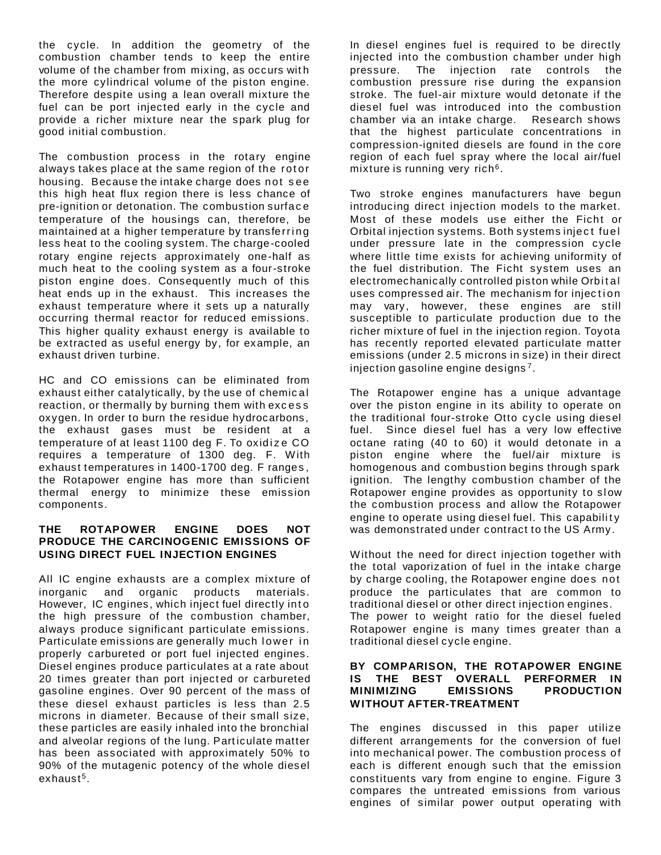the cycle. In addition the geometry of the combustion chamber tends to keep the entire volume of the chamber from mixing, as occurs wit h the more cylindrical volume of the piston engine. Therefore despite using a lean overall mixture the fuel can be port injected early in the cycle and provide a richer mixture near the spark plug for good initial combustion.

The combustion process in the rotary engine always takes place at the same region of the rotor housing. Because the intake charge does not s ee this high heat flux region there is less chance of pre-ignition or detonation. The combustion surfac e temperature of the housings can, therefore, be maintained at a higher temperature by transferring less heat to the cooling system. The charge-cooled rotary engine rejects approximately one-half as much heat to the cooling system as a four-stroke piston engine does. Consequently much of this heat ends up in the exhaust. This increases the exhaust temperature where it sets up a naturally occurring thermal reactor for reduced emissions. This higher quality exhaust energy is available to be extracted as useful energy by, for example, an exhaust driven turbine.

HC and CO emissions can be eliminated from exhaust either catalytically, by the use of chemic al reaction, or thermally by burning them with excess oxygen. In order to burn the residue hydrocarbons, the exhaust gases must be resident at a temperature of at least 1100 deg F. To oxidize CO requires a temperature of 1300 deg. F. With exhaust temperatures in 1400-1700 deg. F ranges , the Rotapower engine has more than sufficient thermal energy to minimize these emission components.

#### **THE ROTAPOWER ENGINE DOES NOT PRODUCE THE CARCINOGENIC EMISSIONS OF USING DIRECT FUEL INJECTION ENGINES**

All IC engine exhausts are a complex mixture of inorganic and organic products materials. However, IC engines, which inject fuel directly int o the high pressure of the combustion chamber, always produce significant particulate emissions. Particulate emissions are generally much lower in properly carbureted or port fuel injected engines. Diesel engines produce particulates at a rate about 20 times greater than port injected or carbureted gasoline engines. Over 90 percent of the mass of these diesel exhaust particles is less than 2.5 microns in diameter. Because of their small size, these particles are easily inhaled into the bronchial and alveolar regions of the lung. Part iculate matter has been associated with approximately 50% to 90% of the mutagenic potency of the whole diesel exhaust $^5$ .

In diesel engines fuel is required to be directly injected into the combustion chamber under high pressure. The injection rate controls the combustion pressure rise during the expansion stroke. The fuel-air mixture would detonate if the diesel fuel was introduced into the combustion chamber via an intake charge. Research shows that the highest particulate concentrations in compression-ignited diesels are found in the core region of each fuel spray where the local air/fuel mixture is running very rich<sup>6</sup>.

Two stroke engines manufacturers have begun introducing direct injection models to the market. Most of these models use either the Ficht or Orbital injection systems. Both systems inject fuel under pressure late in the compression cycle where little time exists for achieving uniformity of the fuel distribution. The Ficht system uses an electromechanically controlled piston while Orbital uses compressed air. The mechanism for injection may vary, however, these engines are still susceptible to particulate production due to the richer mixture of fuel in the injection region. Toyota has recently reported elevated particulate matter emissions (under 2.5 microns in size) in their direct injection gasoline engine designs <sup>7</sup> .

The Rotapower engine has a unique advantage over the piston engine in its ability to operate on the traditional four-stroke Otto cycle using diesel fuel. Since diesel fuel has a very low effective octane rating (40 to 60) it would detonate in a piston engine where the fuel/air mixture is homogenous and combustion begins through spark ignition. The lengthy combustion chamber of the Rotapower engine provides as opportunity to slow the combustion process and allow the Rotapower engine to operate using diesel fuel. This capability was demonstrated under contract to the US Army.

Without the need for direct injection together with the total vaporization of fuel in the intake charge by charge cooling, the Rotapower engine does not produce the particulates that are common to traditional diesel or other direct injection engines. The power to weight ratio for the diesel fueled Rotapower engine is many times greater than a traditional diesel cycle engine.

#### **BY COMPARISON, THE ROTAPOWER ENGINE IS THE BEST OVERALL PERFORMER IN MINIMIZING EMISSIONS PRODUCTION WITHOUT AFTER-TREATMENT**

The engines discussed in this paper utilize different arrangements for the conversion of fuel into mechanical power. The combustion process of each is different enough such that the emission constituents vary from engine to engine. Figure 3 compares the untreated emissions from various engines of similar power output operating with